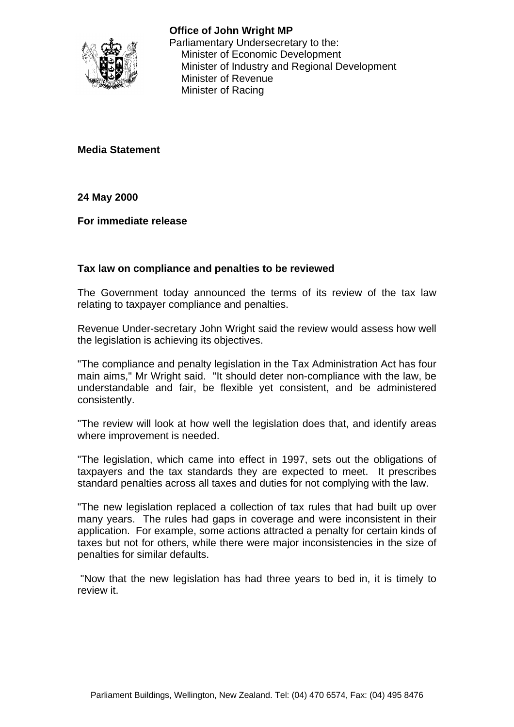

**Office of John Wright MP** Parliamentary Undersecretary to the: Minister of Economic Development Minister of Industry and Regional Development Minister of Revenue Minister of Racing

**Media Statement**

#### **24 May 2000**

**For immediate release**

## **Tax law on compliance and penalties to be reviewed**

The Government today announced the terms of its review of the tax law relating to taxpayer compliance and penalties.

Revenue Under-secretary John Wright said the review would assess how well the legislation is achieving its objectives.

"The compliance and penalty legislation in the Tax Administration Act has four main aims," Mr Wright said. "It should deter non-compliance with the law, be understandable and fair, be flexible yet consistent, and be administered consistently.

"The review will look at how well the legislation does that, and identify areas where improvement is needed.

"The legislation, which came into effect in 1997, sets out the obligations of taxpayers and the tax standards they are expected to meet. It prescribes standard penalties across all taxes and duties for not complying with the law.

"The new legislation replaced a collection of tax rules that had built up over many years. The rules had gaps in coverage and were inconsistent in their application. For example, some actions attracted a penalty for certain kinds of taxes but not for others, while there were major inconsistencies in the size of penalties for similar defaults.

 "Now that the new legislation has had three years to bed in, it is timely to review it.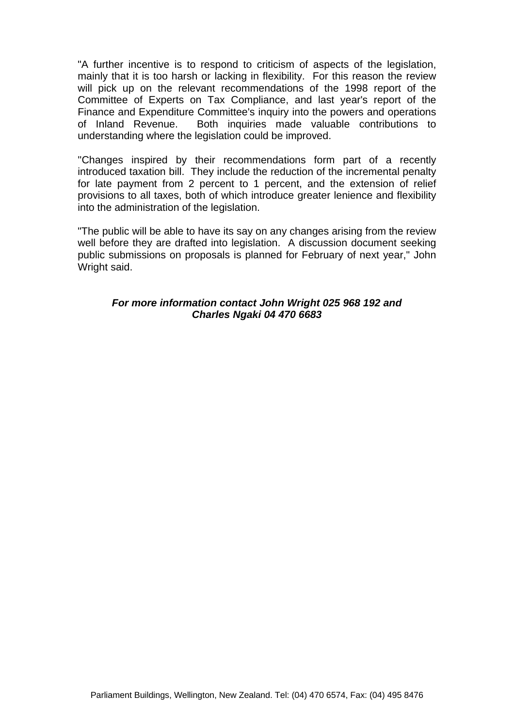"A further incentive is to respond to criticism of aspects of the legislation, mainly that it is too harsh or lacking in flexibility. For this reason the review will pick up on the relevant recommendations of the 1998 report of the Committee of Experts on Tax Compliance, and last year's report of the Finance and Expenditure Committee's inquiry into the powers and operations of Inland Revenue. Both inquiries made valuable contributions to understanding where the legislation could be improved.

''Changes inspired by their recommendations form part of a recently introduced taxation bill. They include the reduction of the incremental penalty for late payment from 2 percent to 1 percent, and the extension of relief provisions to all taxes, both of which introduce greater lenience and flexibility into the administration of the legislation.

"The public will be able to have its say on any changes arising from the review well before they are drafted into legislation. A discussion document seeking public submissions on proposals is planned for February of next year," John Wright said.

#### *For more information contact John Wright 025 968 192 and Charles Ngaki 04 470 6683*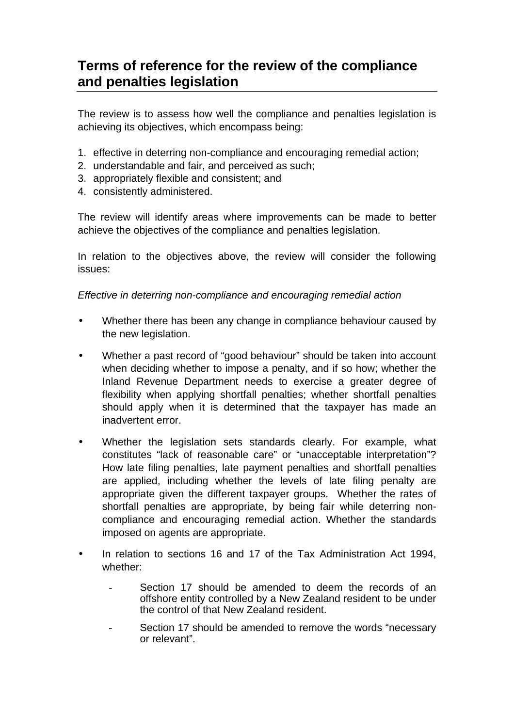# **Terms of reference for the review of the compliance and penalties legislation**

The review is to assess how well the compliance and penalties legislation is achieving its objectives, which encompass being:

- 1. effective in deterring non-compliance and encouraging remedial action;
- 2. understandable and fair, and perceived as such;
- 3. appropriately flexible and consistent; and
- 4. consistently administered.

The review will identify areas where improvements can be made to better achieve the objectives of the compliance and penalties legislation.

In relation to the objectives above, the review will consider the following issues:

#### *Effective in deterring non-compliance and encouraging remedial action*

- Whether there has been any change in compliance behaviour caused by the new legislation.
- Whether a past record of "good behaviour" should be taken into account when deciding whether to impose a penalty, and if so how; whether the Inland Revenue Department needs to exercise a greater degree of flexibility when applying shortfall penalties; whether shortfall penalties should apply when it is determined that the taxpayer has made an inadvertent error.
- Whether the legislation sets standards clearly. For example, what constitutes "lack of reasonable care" or "unacceptable interpretation"? How late filing penalties, late payment penalties and shortfall penalties are applied, including whether the levels of late filing penalty are appropriate given the different taxpayer groups. Whether the rates of shortfall penalties are appropriate, by being fair while deterring noncompliance and encouraging remedial action. Whether the standards imposed on agents are appropriate.
- In relation to sections 16 and 17 of the Tax Administration Act 1994, whether:
	- Section 17 should be amended to deem the records of an offshore entity controlled by a New Zealand resident to be under the control of that New Zealand resident.
	- Section 17 should be amended to remove the words "necessary or relevant".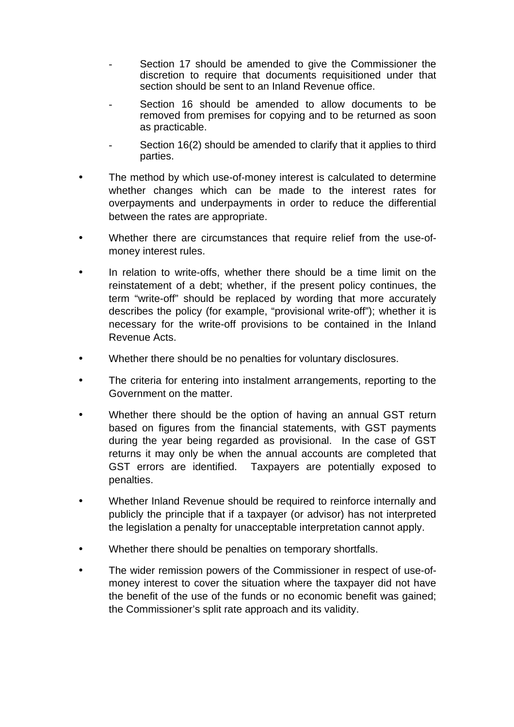- Section 17 should be amended to give the Commissioner the discretion to require that documents requisitioned under that section should be sent to an Inland Revenue office.
- Section 16 should be amended to allow documents to be removed from premises for copying and to be returned as soon as practicable.
- Section 16(2) should be amended to clarify that it applies to third parties.
- The method by which use-of-money interest is calculated to determine whether changes which can be made to the interest rates for overpayments and underpayments in order to reduce the differential between the rates are appropriate.
- Whether there are circumstances that require relief from the use-ofmoney interest rules.
- In relation to write-offs, whether there should be a time limit on the reinstatement of a debt; whether, if the present policy continues, the term "write-off" should be replaced by wording that more accurately describes the policy (for example, "provisional write-off"); whether it is necessary for the write-off provisions to be contained in the Inland Revenue Acts.
- Whether there should be no penalties for voluntary disclosures.
- The criteria for entering into instalment arrangements, reporting to the Government on the matter.
- Whether there should be the option of having an annual GST return based on figures from the financial statements, with GST payments during the year being regarded as provisional. In the case of GST returns it may only be when the annual accounts are completed that GST errors are identified. Taxpayers are potentially exposed to penalties.
- Whether Inland Revenue should be required to reinforce internally and publicly the principle that if a taxpayer (or advisor) has not interpreted the legislation a penalty for unacceptable interpretation cannot apply.
- Whether there should be penalties on temporary shortfalls.
- The wider remission powers of the Commissioner in respect of use-ofmoney interest to cover the situation where the taxpayer did not have the benefit of the use of the funds or no economic benefit was gained; the Commissioner's split rate approach and its validity.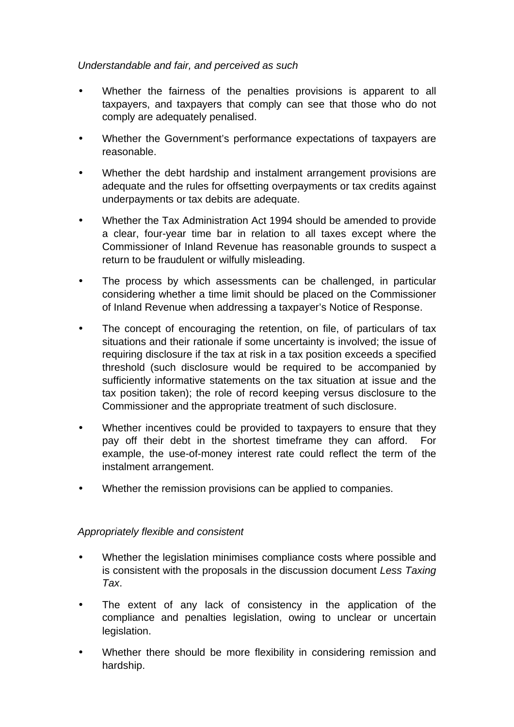## *Understandable and fair, and perceived as such*

- Whether the fairness of the penalties provisions is apparent to all taxpayers, and taxpayers that comply can see that those who do not comply are adequately penalised.
- Whether the Government's performance expectations of taxpayers are reasonable.
- Whether the debt hardship and instalment arrangement provisions are adequate and the rules for offsetting overpayments or tax credits against underpayments or tax debits are adequate.
- Whether the Tax Administration Act 1994 should be amended to provide a clear, four-year time bar in relation to all taxes except where the Commissioner of Inland Revenue has reasonable grounds to suspect a return to be fraudulent or wilfully misleading.
- The process by which assessments can be challenged, in particular considering whether a time limit should be placed on the Commissioner of Inland Revenue when addressing a taxpayer's Notice of Response.
- The concept of encouraging the retention, on file, of particulars of tax situations and their rationale if some uncertainty is involved; the issue of requiring disclosure if the tax at risk in a tax position exceeds a specified threshold (such disclosure would be required to be accompanied by sufficiently informative statements on the tax situation at issue and the tax position taken); the role of record keeping versus disclosure to the Commissioner and the appropriate treatment of such disclosure.
- Whether incentives could be provided to taxpayers to ensure that they pay off their debt in the shortest timeframe they can afford. For example, the use-of-money interest rate could reflect the term of the instalment arrangement.
- Whether the remission provisions can be applied to companies.

## *Appropriately flexible and consistent*

- Whether the legislation minimises compliance costs where possible and is consistent with the proposals in the discussion document *Less Taxing Tax*.
- The extent of any lack of consistency in the application of the compliance and penalties legislation, owing to unclear or uncertain legislation.
- Whether there should be more flexibility in considering remission and hardship.